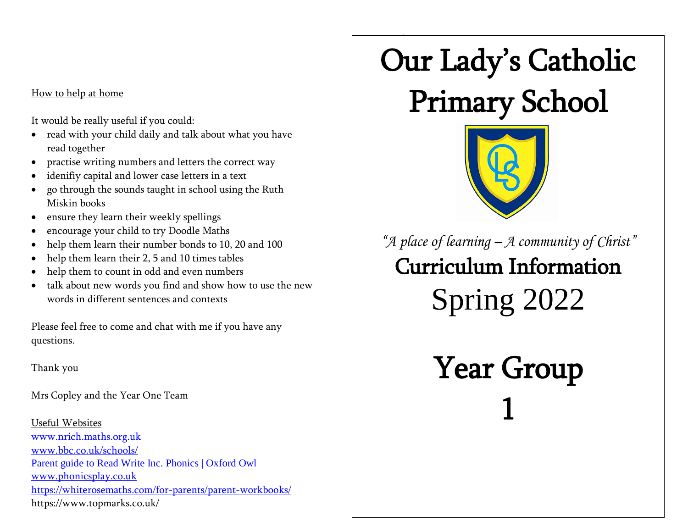## How to help at home

It would be really useful if you could:

- read with your child daily and talk about what you have read together
- practise writing numbers and letters the correct way
- idenifiy capital and lower case letters in a text
- go through the sounds taught in school using the Ruth Miskin books
- ensure they learn their weekly spellings
- encourage your child to try Doodle Maths
- help them learn their number bonds to 10, 20 and 100
- help them learn their 2, 5 and 10 times tables
- help them to count in odd and even numbers
- talk about new words you find and show how to use the new words in different sentences and contexts

Please feel free to come and chat with me if you have any questions.

Thank you

Mrs Copley and the Year One Team

Useful Websites [www.nrich.maths.org.uk](http://www.nrich.maths.org.uk/) [www.bbc.co.uk/schools/](http://www.bbc.co.uk/schools/) [Parent guide to Read Write Inc. Phonics | Oxford Owl](https://home.oxfordowl.co.uk/reading/reading-schemes-oxford-levels/read-write-inc-phonics-guide/) [www.phonicsplay.co.uk](http://www.phonicsplay.co.uk/) https://whiterosemaths.com/for-parents/parent-workbooks/ https://www.topmarks.co.uk/

## ww.ict<sub>games.</sub>com Our Lady's Catholic

## Primary School



*"A place of learning – A community of Christ"* Curriculum Information Spring 2022

> Year Group 1